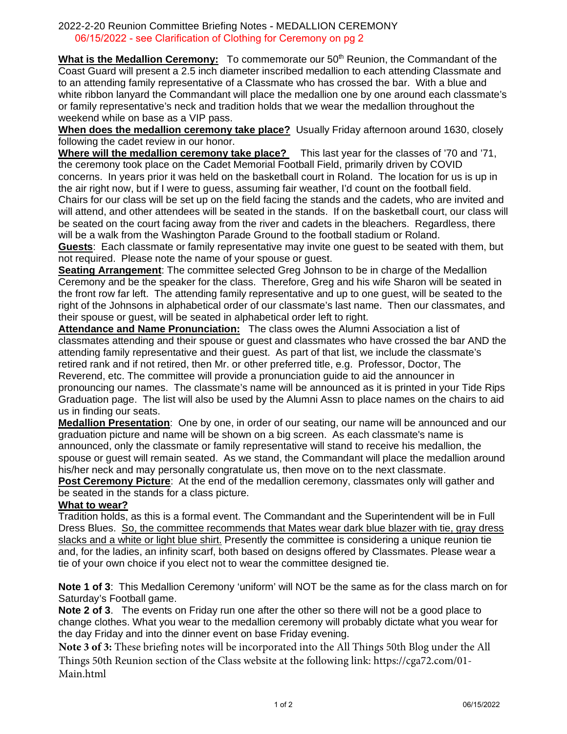## 2022-2-20 Reunion Committee Briefing Notes - MEDALLION CEREMONY 06/15/2022 - see Clarification of Clothing for Ceremony on pg 2

What is the Medallion Ceremony: To commemorate our 50<sup>th</sup> Reunion, the Commandant of the Coast Guard will present a 2.5 inch diameter inscribed medallion to each attending Classmate and to an attending family representative of a Classmate who has crossed the bar. With a blue and white ribbon lanyard the Commandant will place the medallion one by one around each classmate's or family representative's neck and tradition holds that we wear the medallion throughout the weekend while on base as a VIP pass.

**When does the medallion ceremony take place?** Usually Friday afternoon around 1630, closely following the cadet review in our honor.

**Where will the medallion ceremony take place?** This last year for the classes of '70 and '71, the ceremony took place on the Cadet Memorial Football Field, primarily driven by COVID concerns. In years prior it was held on the basketball court in Roland. The location for us is up in the air right now, but if I were to guess, assuming fair weather, I'd count on the football field. Chairs for our class will be set up on the field facing the stands and the cadets, who are invited and will attend, and other attendees will be seated in the stands. If on the basketball court, our class will be seated on the court facing away from the river and cadets in the bleachers. Regardless, there will be a walk from the Washington Parade Ground to the football stadium or Roland.

**Guests**: Each classmate or family representative may invite one guest to be seated with them, but not required. Please note the name of your spouse or guest.

**Seating Arrangement:** The committee selected Greg Johnson to be in charge of the Medallion Ceremony and be the speaker for the class. Therefore, Greg and his wife Sharon will be seated in the front row far left. The attending family representative and up to one guest, will be seated to the right of the Johnsons in alphabetical order of our classmate's last name. Then our classmates, and their spouse or guest, will be seated in alphabetical order left to right.

**Attendance and Name Pronunciation:** The class owes the Alumni Association a list of classmates attending and their spouse or guest and classmates who have crossed the bar AND the attending family representative and their guest. As part of that list, we include the classmate's retired rank and if not retired, then Mr. or other preferred title, e.g. Professor, Doctor, The Reverend, etc. The committee will provide a pronunciation guide to aid the announcer in pronouncing our names. The classmate's name will be announced as it is printed in your Tide Rips Graduation page. The list will also be used by the Alumni Assn to place names on the chairs to aid us in finding our seats.

**Medallion Presentation**: One by one, in order of our seating, our name will be announced and our graduation picture and name will be shown on a big screen. As each classmate's name is announced, only the classmate or family representative will stand to receive his medallion, the spouse or guest will remain seated. As we stand, the Commandant will place the medallion around his/her neck and may personally congratulate us, then move on to the next classmate.

**Post Ceremony Picture**: At the end of the medallion ceremony, classmates only will gather and be seated in the stands for a class picture.

## **What to wear?**

Tradition holds, as this is a formal event. The Commandant and the Superintendent will be in Full Dress Blues. So, the committee recommends that Mates wear dark blue blazer with tie, gray dress slacks and a white or light blue shirt. Presently the committee is considering a unique reunion tie and, for the ladies, an infinity scarf, both based on designs offered by Classmates. Please wear a tie of your own choice if you elect not to wear the committee designed tie.

**Note 1 of 3**: This Medallion Ceremony 'uniform' will NOT be the same as for the class march on for Saturday's Football game.

**Note 2 of 3**. The events on Friday run one after the other so there will not be a good place to change clothes. What you wear to the medallion ceremony will probably dictate what you wear for the day Friday and into the dinner event on base Friday evening.

**Note 3 of 3:** These briefing notes will be incorporated into the All Things 50th Blog under the All Things 50th Reunion section of the Class website at the following link: [https://cga72.com/01-](https://cga72.com/01-Main.html) [Main.html](https://cga72.com/01-Main.html)